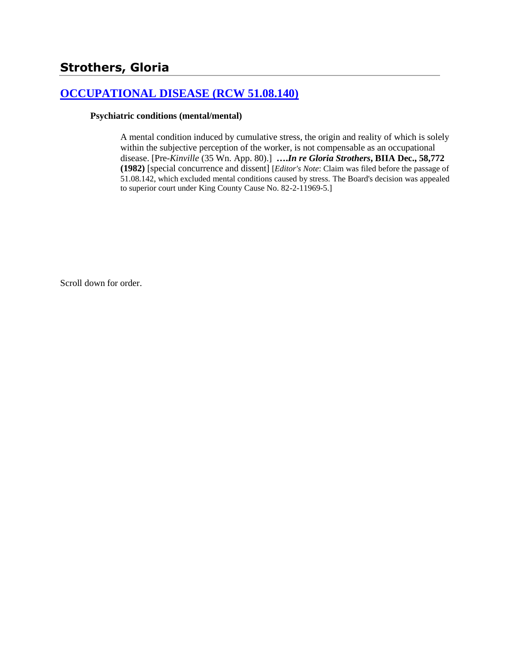# **Strothers, Gloria**

## **[OCCUPATIONAL DISEASE \(RCW 51.08.140\)](http://www.biia.wa.gov/SDSubjectIndex.html#OCCUPATIONAL_DISEASE)**

#### **Psychiatric conditions (mental/mental)**

A mental condition induced by cumulative stress, the origin and reality of which is solely within the subjective perception of the worker, is not compensable as an occupational disease. [Pre-*Kinville* (35 Wn. App. 80).] **….***In re Gloria Strothers***, BIIA Dec., 58,772 (1982)** [special concurrence and dissent] [*Editor's Note*: Claim was filed before the passage of 51.08.142, which excluded mental conditions caused by stress. The Board's decision was appealed to superior court under King County Cause No. 82-2-11969-5.]

Scroll down for order.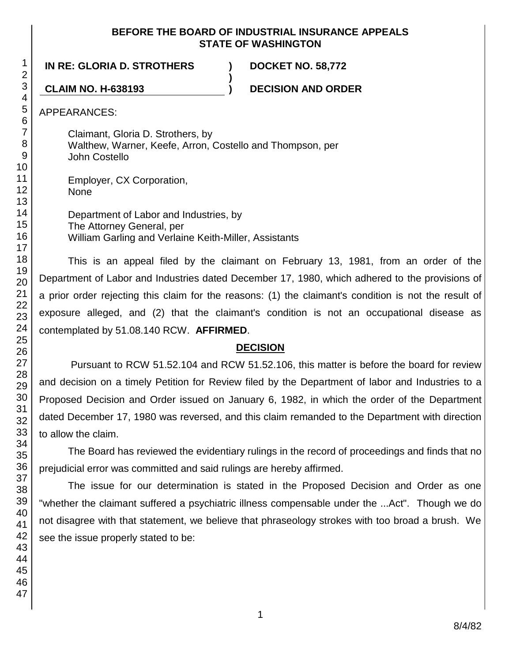## **BEFORE THE BOARD OF INDUSTRIAL INSURANCE APPEALS STATE OF WASHINGTON**

**)**

**IN RE: GLORIA D. STROTHERS ) DOCKET NO. 58,772**

**CLAIM NO. H-638193 ) DECISION AND ORDER**

APPEARANCES:

Claimant, Gloria D. Strothers, by Walthew, Warner, Keefe, Arron, Costello and Thompson, per John Costello

Employer, CX Corporation, None

Department of Labor and Industries, by The Attorney General, per William Garling and Verlaine Keith-Miller, Assistants

This is an appeal filed by the claimant on February 13, 1981, from an order of the Department of Labor and Industries dated December 17, 1980, which adhered to the provisions of a prior order rejecting this claim for the reasons: (1) the claimant's condition is not the result of exposure alleged, and (2) that the claimant's condition is not an occupational disease as contemplated by 51.08.140 RCW. **AFFIRMED**.

## **DECISION**

Pursuant to RCW 51.52.104 and RCW 51.52.106, this matter is before the board for review and decision on a timely Petition for Review filed by the Department of labor and Industries to a Proposed Decision and Order issued on January 6, 1982, in which the order of the Department dated December 17, 1980 was reversed, and this claim remanded to the Department with direction to allow the claim.

The Board has reviewed the evidentiary rulings in the record of proceedings and finds that no prejudicial error was committed and said rulings are hereby affirmed.

The issue for our determination is stated in the Proposed Decision and Order as one "whether the claimant suffered a psychiatric illness compensable under the ...Act". Though we do not disagree with that statement, we believe that phraseology strokes with too broad a brush. We see the issue properly stated to be: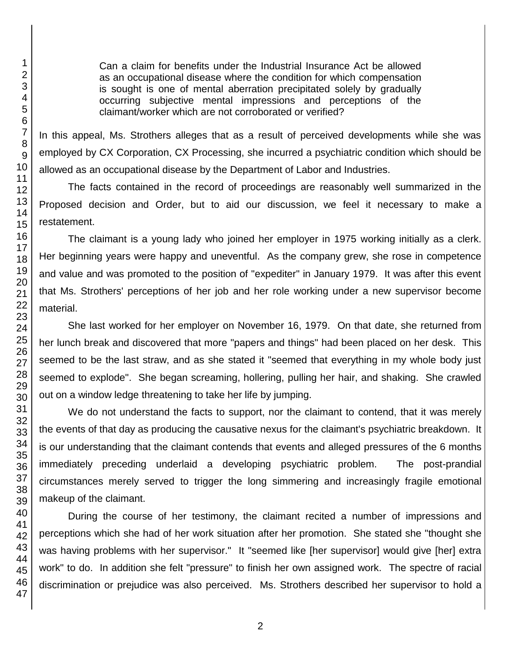Can a claim for benefits under the Industrial Insurance Act be allowed as an occupational disease where the condition for which compensation is sought is one of mental aberration precipitated solely by gradually occurring subjective mental impressions and perceptions of the claimant/worker which are not corroborated or verified?

In this appeal, Ms. Strothers alleges that as a result of perceived developments while she was employed by CX Corporation, CX Processing, she incurred a psychiatric condition which should be allowed as an occupational disease by the Department of Labor and Industries.

The facts contained in the record of proceedings are reasonably well summarized in the Proposed decision and Order, but to aid our discussion, we feel it necessary to make a restatement.

The claimant is a young lady who joined her employer in 1975 working initially as a clerk. Her beginning years were happy and uneventful. As the company grew, she rose in competence and value and was promoted to the position of "expediter" in January 1979. It was after this event that Ms. Strothers' perceptions of her job and her role working under a new supervisor become material.

She last worked for her employer on November 16, 1979. On that date, she returned from her lunch break and discovered that more "papers and things" had been placed on her desk. This seemed to be the last straw, and as she stated it "seemed that everything in my whole body just seemed to explode". She began screaming, hollering, pulling her hair, and shaking. She crawled out on a window ledge threatening to take her life by jumping.

We do not understand the facts to support, nor the claimant to contend, that it was merely the events of that day as producing the causative nexus for the claimant's psychiatric breakdown. It is our understanding that the claimant contends that events and alleged pressures of the 6 months immediately preceding underlaid a developing psychiatric problem. The post-prandial circumstances merely served to trigger the long simmering and increasingly fragile emotional makeup of the claimant.

During the course of her testimony, the claimant recited a number of impressions and perceptions which she had of her work situation after her promotion. She stated she "thought she was having problems with her supervisor." It "seemed like [her supervisor] would give [her] extra work" to do. In addition she felt "pressure" to finish her own assigned work. The spectre of racial discrimination or prejudice was also perceived. Ms. Strothers described her supervisor to hold a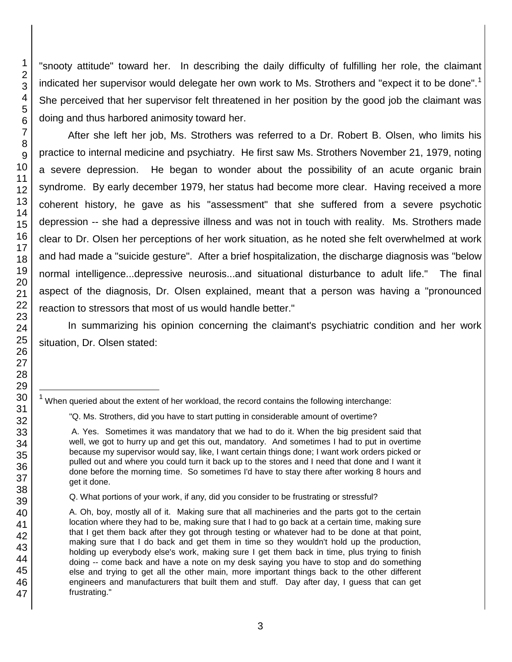"snooty attitude" toward her. In describing the daily difficulty of fulfilling her role, the claimant indicated her supervisor would delegate her own work to Ms. Strothers and "expect it to be done".<sup>1</sup> She perceived that her supervisor felt threatened in her position by the good job the claimant was doing and thus harbored animosity toward her.

After she left her job, Ms. Strothers was referred to a Dr. Robert B. Olsen, who limits his practice to internal medicine and psychiatry. He first saw Ms. Strothers November 21, 1979, noting a severe depression. He began to wonder about the possibility of an acute organic brain syndrome. By early december 1979, her status had become more clear. Having received a more coherent history, he gave as his "assessment" that she suffered from a severe psychotic depression -- she had a depressive illness and was not in touch with reality. Ms. Strothers made clear to Dr. Olsen her perceptions of her work situation, as he noted she felt overwhelmed at work and had made a "suicide gesture". After a brief hospitalization, the discharge diagnosis was "below normal intelligence...depressive neurosis...and situational disturbance to adult life." The final aspect of the diagnosis, Dr. Olsen explained, meant that a person was having a "pronounced reaction to stressors that most of us would handle better."

In summarizing his opinion concerning the claimant's psychiatric condition and her work situation, Dr. Olsen stated:

l

 $1$  When queried about the extent of her workload, the record contains the following interchange:

<sup>&</sup>quot;Q. Ms. Strothers, did you have to start putting in considerable amount of overtime?

A. Yes. Sometimes it was mandatory that we had to do it. When the big president said that well, we got to hurry up and get this out, mandatory. And sometimes I had to put in overtime because my supervisor would say, like, I want certain things done; I want work orders picked or pulled out and where you could turn it back up to the stores and I need that done and I want it done before the morning time. So sometimes I'd have to stay there after working 8 hours and get it done.

Q. What portions of your work, if any, did you consider to be frustrating or stressful?

A. Oh, boy, mostly all of it. Making sure that all machineries and the parts got to the certain location where they had to be, making sure that I had to go back at a certain time, making sure that I get them back after they got through testing or whatever had to be done at that point, making sure that I do back and get them in time so they wouldn't hold up the production, holding up everybody else's work, making sure I get them back in time, plus trying to finish doing -- come back and have a note on my desk saying you have to stop and do something else and trying to get all the other main, more important things back to the other different engineers and manufacturers that built them and stuff. Day after day, I guess that can get frustrating."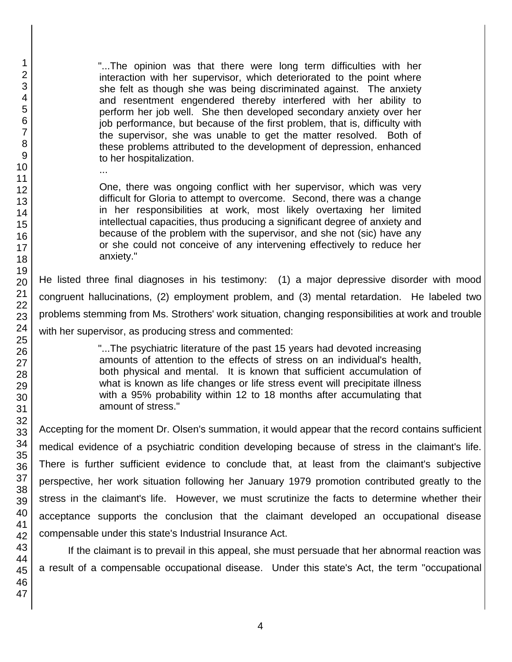"...The opinion was that there were long term difficulties with her interaction with her supervisor, which deteriorated to the point where she felt as though she was being discriminated against. The anxiety and resentment engendered thereby interfered with her ability to perform her job well. She then developed secondary anxiety over her job performance, but because of the first problem, that is, difficulty with the supervisor, she was unable to get the matter resolved. Both of these problems attributed to the development of depression, enhanced to her hospitalization. One, there was ongoing conflict with her supervisor, which was very

difficult for Gloria to attempt to overcome. Second, there was a change in her responsibilities at work, most likely overtaxing her limited intellectual capacities, thus producing a significant degree of anxiety and because of the problem with the supervisor, and she not (sic) have any or she could not conceive of any intervening effectively to reduce her anxiety."

He listed three final diagnoses in his testimony: (1) a major depressive disorder with mood congruent hallucinations, (2) employment problem, and (3) mental retardation. He labeled two problems stemming from Ms. Strothers' work situation, changing responsibilities at work and trouble with her supervisor, as producing stress and commented:

> "...The psychiatric literature of the past 15 years had devoted increasing amounts of attention to the effects of stress on an individual's health, both physical and mental. It is known that sufficient accumulation of what is known as life changes or life stress event will precipitate illness with a 95% probability within 12 to 18 months after accumulating that amount of stress."

Accepting for the moment Dr. Olsen's summation, it would appear that the record contains sufficient medical evidence of a psychiatric condition developing because of stress in the claimant's life. There is further sufficient evidence to conclude that, at least from the claimant's subjective perspective, her work situation following her January 1979 promotion contributed greatly to the stress in the claimant's life. However, we must scrutinize the facts to determine whether their acceptance supports the conclusion that the claimant developed an occupational disease compensable under this state's Industrial Insurance Act.

If the claimant is to prevail in this appeal, she must persuade that her abnormal reaction was a result of a compensable occupational disease. Under this state's Act, the term "occupational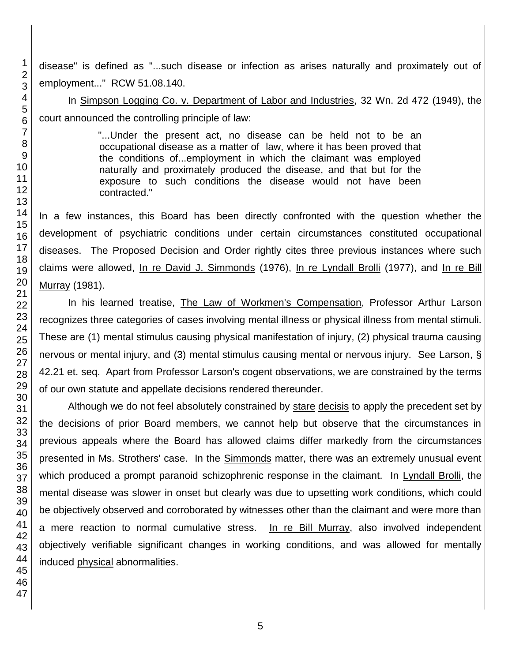disease" is defined as "...such disease or infection as arises naturally and proximately out of employment..." RCW 51.08.140.

In Simpson Logging Co. v. Department of Labor and Industries, 32 Wn. 2d 472 (1949), the court announced the controlling principle of law:

> "...Under the present act, no disease can be held not to be an occupational disease as a matter of law, where it has been proved that the conditions of...employment in which the claimant was employed naturally and proximately produced the disease, and that but for the exposure to such conditions the disease would not have been contracted."

In a few instances, this Board has been directly confronted with the question whether the development of psychiatric conditions under certain circumstances constituted occupational diseases. The Proposed Decision and Order rightly cites three previous instances where such claims were allowed, In re David J. Simmonds (1976), In re Lyndall Brolli (1977), and In re Bill Murray (1981).

In his learned treatise, The Law of Workmen's Compensation, Professor Arthur Larson recognizes three categories of cases involving mental illness or physical illness from mental stimuli. These are (1) mental stimulus causing physical manifestation of injury, (2) physical trauma causing nervous or mental injury, and (3) mental stimulus causing mental or nervous injury. See Larson, § 42.21 et. seq. Apart from Professor Larson's cogent observations, we are constrained by the terms of our own statute and appellate decisions rendered thereunder.

Although we do not feel absolutely constrained by stare decisis to apply the precedent set by the decisions of prior Board members, we cannot help but observe that the circumstances in previous appeals where the Board has allowed claims differ markedly from the circumstances presented in Ms. Strothers' case. In the Simmonds matter, there was an extremely unusual event which produced a prompt paranoid schizophrenic response in the claimant. In Lyndall Brolli, the mental disease was slower in onset but clearly was due to upsetting work conditions, which could be objectively observed and corroborated by witnesses other than the claimant and were more than a mere reaction to normal cumulative stress. In re Bill Murray, also involved independent objectively verifiable significant changes in working conditions, and was allowed for mentally induced physical abnormalities.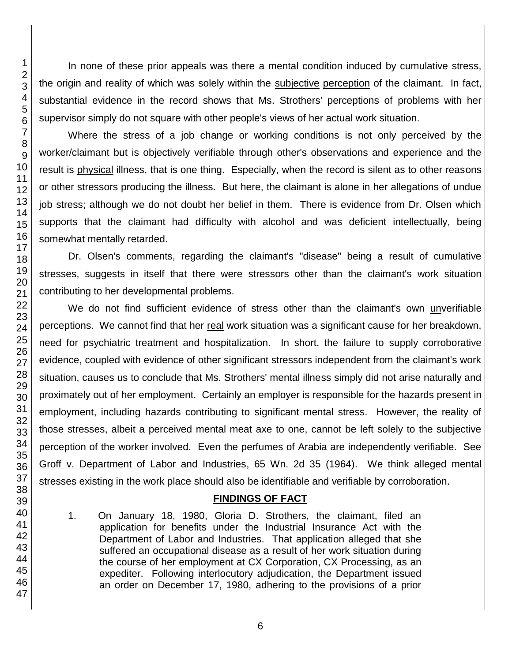In none of these prior appeals was there a mental condition induced by cumulative stress, the origin and reality of which was solely within the subjective perception of the claimant. In fact, substantial evidence in the record shows that Ms. Strothers' perceptions of problems with her supervisor simply do not square with other people's views of her actual work situation.

Where the stress of a job change or working conditions is not only perceived by the worker/claimant but is objectively verifiable through other's observations and experience and the result is physical illness, that is one thing. Especially, when the record is silent as to other reasons or other stressors producing the illness. But here, the claimant is alone in her allegations of undue job stress; although we do not doubt her belief in them. There is evidence from Dr. Olsen which supports that the claimant had difficulty with alcohol and was deficient intellectually, being somewhat mentally retarded.

Dr. Olsen's comments, regarding the claimant's "disease" being a result of cumulative stresses, suggests in itself that there were stressors other than the claimant's work situation contributing to her developmental problems.

We do not find sufficient evidence of stress other than the claimant's own unverifiable perceptions. We cannot find that her real work situation was a significant cause for her breakdown, need for psychiatric treatment and hospitalization. In short, the failure to supply corroborative evidence, coupled with evidence of other significant stressors independent from the claimant's work situation, causes us to conclude that Ms. Strothers' mental illness simply did not arise naturally and proximately out of her employment. Certainly an employer is responsible for the hazards present in employment, including hazards contributing to significant mental stress. However, the reality of those stresses, albeit a perceived mental meat axe to one, cannot be left solely to the subjective perception of the worker involved. Even the perfumes of Arabia are independently verifiable. See Groff v. Department of Labor and Industries, 65 Wn. 2d 35 (1964). We think alleged mental stresses existing in the work place should also be identifiable and verifiable by corroboration.

## **FINDINGS OF FACT**

1. On January 18, 1980, Gloria D. Strothers, the claimant, filed an application for benefits under the Industrial Insurance Act with the Department of Labor and Industries. That application alleged that she suffered an occupational disease as a result of her work situation during the course of her employment at CX Corporation, CX Processing, as an expediter. Following interlocutory adjudication, the Department issued an order on December 17, 1980, adhering to the provisions of a prior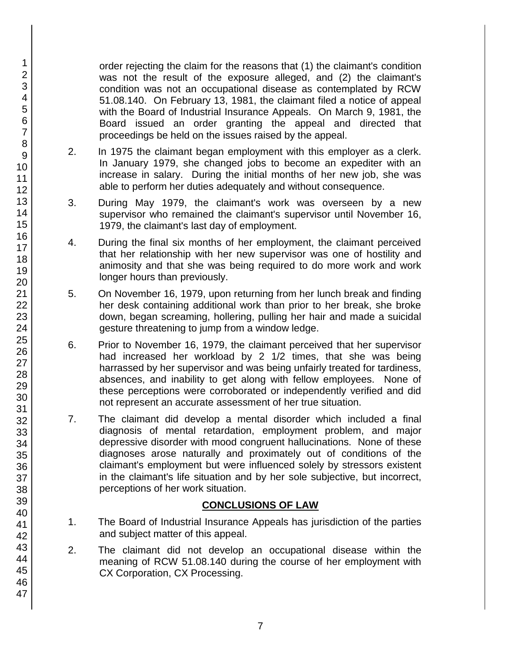order rejecting the claim for the reasons that (1) the claimant's condition was not the result of the exposure alleged, and (2) the claimant's condition was not an occupational disease as contemplated by RCW 51.08.140. On February 13, 1981, the claimant filed a notice of appeal with the Board of Industrial Insurance Appeals. On March 9, 1981, the Board issued an order granting the appeal and directed that proceedings be held on the issues raised by the appeal.

- 2. In 1975 the claimant began employment with this employer as a clerk. In January 1979, she changed jobs to become an expediter with an increase in salary. During the initial months of her new job, she was able to perform her duties adequately and without consequence.
- 3. During May 1979, the claimant's work was overseen by a new supervisor who remained the claimant's supervisor until November 16, 1979, the claimant's last day of employment.
- 4. During the final six months of her employment, the claimant perceived that her relationship with her new supervisor was one of hostility and animosity and that she was being required to do more work and work longer hours than previously.
- 5. On November 16, 1979, upon returning from her lunch break and finding her desk containing additional work than prior to her break, she broke down, began screaming, hollering, pulling her hair and made a suicidal gesture threatening to jump from a window ledge.
- 6. Prior to November 16, 1979, the claimant perceived that her supervisor had increased her workload by 2 1/2 times, that she was being harrassed by her supervisor and was being unfairly treated for tardiness, absences, and inability to get along with fellow employees. None of these perceptions were corroborated or independently verified and did not represent an accurate assessment of her true situation.
- 7. The claimant did develop a mental disorder which included a final diagnosis of mental retardation, employment problem, and major depressive disorder with mood congruent hallucinations. None of these diagnoses arose naturally and proximately out of conditions of the claimant's employment but were influenced solely by stressors existent in the claimant's life situation and by her sole subjective, but incorrect, perceptions of her work situation.

## **CONCLUSIONS OF LAW**

- 1. The Board of Industrial Insurance Appeals has jurisdiction of the parties and subject matter of this appeal.
- 2. The claimant did not develop an occupational disease within the meaning of RCW 51.08.140 during the course of her employment with CX Corporation, CX Processing.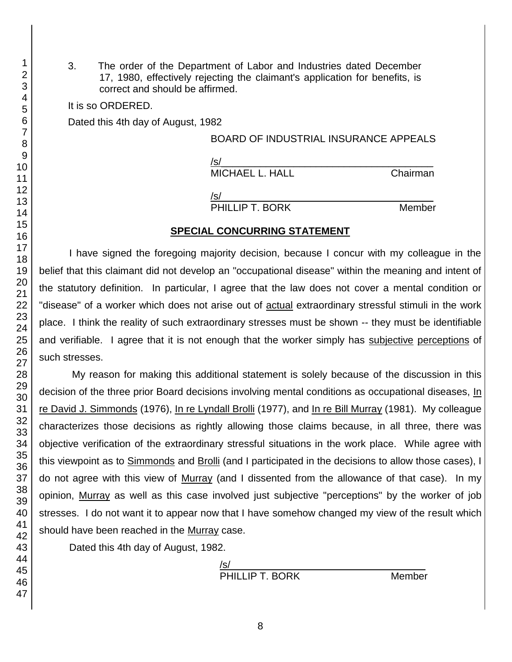3. The order of the Department of Labor and Industries dated December 17, 1980, effectively rejecting the claimant's application for benefits, is correct and should be affirmed.

It is so ORDERED.

Dated this 4th day of August, 1982

#### BOARD OF INDUSTRIAL INSURANCE APPEALS

 $/$ s/ $\sim$ MICHAEL L. HALL Chairman

/s/\_\_\_\_\_\_\_\_\_\_\_\_\_\_\_\_\_\_\_\_\_\_\_\_\_\_\_\_\_\_\_\_\_\_\_\_\_\_

PHILLIP T. BORK Member

### **SPECIAL CONCURRING STATEMENT**

I have signed the foregoing majority decision, because I concur with my colleague in the belief that this claimant did not develop an "occupational disease" within the meaning and intent of the statutory definition. In particular, I agree that the law does not cover a mental condition or "disease" of a worker which does not arise out of actual extraordinary stressful stimuli in the work place. I think the reality of such extraordinary stresses must be shown -- they must be identifiable and verifiable. I agree that it is not enough that the worker simply has subjective perceptions of such stresses.

My reason for making this additional statement is solely because of the discussion in this decision of the three prior Board decisions involving mental conditions as occupational diseases, In re David J. Simmonds (1976), In re Lyndall Brolli (1977), and In re Bill Murray (1981). My colleague characterizes those decisions as rightly allowing those claims because, in all three, there was objective verification of the extraordinary stressful situations in the work place. While agree with this viewpoint as to Simmonds and Brolli (and I participated in the decisions to allow those cases), I do not agree with this view of Murray (and I dissented from the allowance of that case). In my opinion, Murray as well as this case involved just subjective "perceptions" by the worker of job stresses. I do not want it to appear now that I have somehow changed my view of the result which should have been reached in the Murray case.

Dated this 4th day of August, 1982.

| PHILLIP T. BORK | Member |
|-----------------|--------|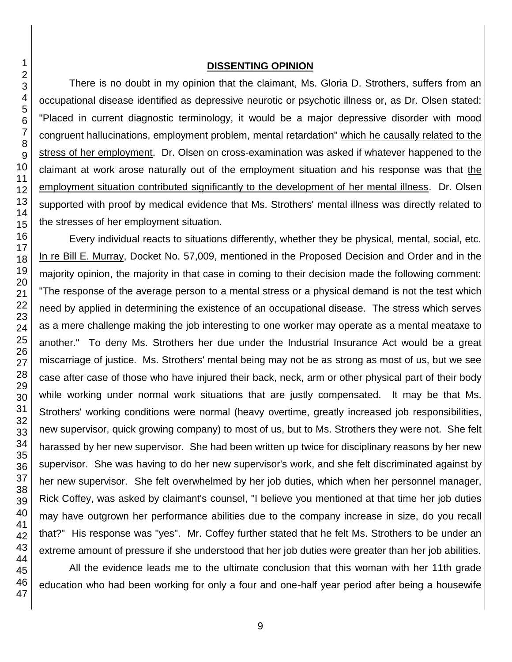#### **DISSENTING OPINION**

There is no doubt in my opinion that the claimant, Ms. Gloria D. Strothers, suffers from an occupational disease identified as depressive neurotic or psychotic illness or, as Dr. Olsen stated: "Placed in current diagnostic terminology, it would be a major depressive disorder with mood congruent hallucinations, employment problem, mental retardation" which he causally related to the stress of her employment. Dr. Olsen on cross-examination was asked if whatever happened to the claimant at work arose naturally out of the employment situation and his response was that the employment situation contributed significantly to the development of her mental illness. Dr. Olsen supported with proof by medical evidence that Ms. Strothers' mental illness was directly related to the stresses of her employment situation.

Every individual reacts to situations differently, whether they be physical, mental, social, etc. In re Bill E. Murray, Docket No. 57,009, mentioned in the Proposed Decision and Order and in the majority opinion, the majority in that case in coming to their decision made the following comment: "The response of the average person to a mental stress or a physical demand is not the test which need by applied in determining the existence of an occupational disease. The stress which serves as a mere challenge making the job interesting to one worker may operate as a mental meataxe to another." To deny Ms. Strothers her due under the Industrial Insurance Act would be a great miscarriage of justice. Ms. Strothers' mental being may not be as strong as most of us, but we see case after case of those who have injured their back, neck, arm or other physical part of their body while working under normal work situations that are justly compensated. It may be that Ms. Strothers' working conditions were normal (heavy overtime, greatly increased job responsibilities, new supervisor, quick growing company) to most of us, but to Ms. Strothers they were not. She felt harassed by her new supervisor. She had been written up twice for disciplinary reasons by her new supervisor. She was having to do her new supervisor's work, and she felt discriminated against by her new supervisor. She felt overwhelmed by her job duties, which when her personnel manager, Rick Coffey, was asked by claimant's counsel, "I believe you mentioned at that time her job duties may have outgrown her performance abilities due to the company increase in size, do you recall that?" His response was "yes". Mr. Coffey further stated that he felt Ms. Strothers to be under an extreme amount of pressure if she understood that her job duties were greater than her job abilities.

All the evidence leads me to the ultimate conclusion that this woman with her 11th grade education who had been working for only a four and one-half year period after being a housewife